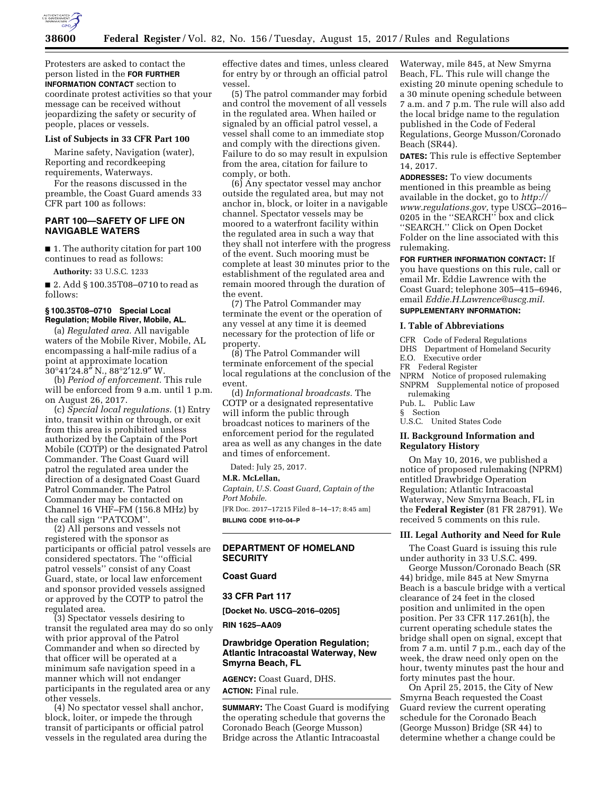

Protesters are asked to contact the person listed in the **FOR FURTHER INFORMATION CONTACT** section to coordinate protest activities so that your message can be received without jeopardizing the safety or security of people, places or vessels.

#### **List of Subjects in 33 CFR Part 100**

Marine safety, Navigation (water), Reporting and recordkeeping requirements, Waterways.

For the reasons discussed in the preamble, the Coast Guard amends 33 CFR part 100 as follows:

# **PART 100—SAFETY OF LIFE ON NAVIGABLE WATERS**

■ 1. The authority citation for part 100 continues to read as follows:

**Authority:** 33 U.S.C. 1233

■ 2. Add § 100.35T08–0710 to read as follows:

# **§ 100.35T08–0710 Special Local Regulation; Mobile River, Mobile, AL.**

(a) *Regulated area.* All navigable waters of the Mobile River, Mobile, AL encompassing a half-mile radius of a point at approximate location  $30^{\circ}41'24.\overline{8''}$  N.,  $88^{\circ}2'12.9''$  W.

(b) *Period of enforcement.* This rule will be enforced from 9 a.m. until 1 p.m. on August 26, 2017.

(c) *Special local regulations.* (1) Entry into, transit within or through, or exit from this area is prohibited unless authorized by the Captain of the Port Mobile (COTP) or the designated Patrol Commander. The Coast Guard will patrol the regulated area under the direction of a designated Coast Guard Patrol Commander. The Patrol Commander may be contacted on Channel 16 VHF–FM (156.8 MHz) by the call sign ''PATCOM''.

(2) All persons and vessels not registered with the sponsor as participants or official patrol vessels are considered spectators. The ''official patrol vessels'' consist of any Coast Guard, state, or local law enforcement and sponsor provided vessels assigned or approved by the COTP to patrol the regulated area.

(3) Spectator vessels desiring to transit the regulated area may do so only with prior approval of the Patrol Commander and when so directed by that officer will be operated at a minimum safe navigation speed in a manner which will not endanger participants in the regulated area or any other vessels.

(4) No spectator vessel shall anchor, block, loiter, or impede the through transit of participants or official patrol vessels in the regulated area during the effective dates and times, unless cleared for entry by or through an official patrol vessel.

(5) The patrol commander may forbid and control the movement of all vessels in the regulated area. When hailed or signaled by an official patrol vessel, a vessel shall come to an immediate stop and comply with the directions given. Failure to do so may result in expulsion from the area, citation for failure to comply, or both.

(6) Any spectator vessel may anchor outside the regulated area, but may not anchor in, block, or loiter in a navigable channel. Spectator vessels may be moored to a waterfront facility within the regulated area in such a way that they shall not interfere with the progress of the event. Such mooring must be complete at least 30 minutes prior to the establishment of the regulated area and remain moored through the duration of the event.

(7) The Patrol Commander may terminate the event or the operation of any vessel at any time it is deemed necessary for the protection of life or property.

(8) The Patrol Commander will terminate enforcement of the special local regulations at the conclusion of the event.

(d) *Informational broadcasts.* The COTP or a designated representative will inform the public through broadcast notices to mariners of the enforcement period for the regulated area as well as any changes in the date and times of enforcement.

Dated: July 25, 2017.

### **M.R. McLellan,**

*Captain, U.S. Coast Guard, Captain of the Port Mobile.* 

[FR Doc. 2017–17215 Filed 8–14–17; 8:45 am] **BILLING CODE 9110–04–P** 

### **DEPARTMENT OF HOMELAND SECURITY**

### **Coast Guard**

# **33 CFR Part 117**

**[Docket No. USCG–2016–0205]** 

**RIN 1625–AA09** 

# **Drawbridge Operation Regulation; Atlantic Intracoastal Waterway, New Smyrna Beach, FL**

**AGENCY:** Coast Guard, DHS. **ACTION:** Final rule.

**SUMMARY:** The Coast Guard is modifying the operating schedule that governs the Coronado Beach (George Musson) Bridge across the Atlantic Intracoastal

Waterway, mile 845, at New Smyrna Beach, FL. This rule will change the existing 20 minute opening schedule to a 30 minute opening schedule between 7 a.m. and 7 p.m. The rule will also add the local bridge name to the regulation published in the Code of Federal Regulations, George Musson/Coronado Beach (SR44).

**DATES:** This rule is effective September 14, 2017.

**ADDRESSES:** To view documents mentioned in this preamble as being available in the docket, go to *[http://](http://www.regulations.gov) [www.regulations.gov,](http://www.regulations.gov)* type USCG–2016– 0205 in the ''SEARCH'' box and click ''SEARCH.'' Click on Open Docket Folder on the line associated with this rulemaking.

#### **FOR FURTHER INFORMATION CONTACT:** If you have questions on this rule, call or

email Mr. Eddie Lawrence with the Coast Guard; telephone 305–415–6946, email *[Eddie.H.Lawrence@uscg.mil.](mailto:Eddie.H.Lawrence@uscg.mil)*  **SUPPLEMENTARY INFORMATION:** 

# **I. Table of Abbreviations**

- CFR Code of Federal Regulations
- DHS Department of Homeland Security
- E.O. Executive order
- FR Federal Register
- NPRM Notice of proposed rulemaking
- SNPRM Supplemental notice of proposed rulemaking

Pub. L. Public Law

§ Section U.S.C. United States Code

#### **II. Background Information and Regulatory History**

On May 10, 2016, we published a notice of proposed rulemaking (NPRM) entitled Drawbridge Operation Regulation; Atlantic Intracoastal Waterway, New Smyrna Beach, FL in the **Federal Register** (81 FR 28791). We received 5 comments on this rule.

#### **III. Legal Authority and Need for Rule**

The Coast Guard is issuing this rule under authority in 33 U.S.C. 499.

George Musson/Coronado Beach (SR 44) bridge, mile 845 at New Smyrna Beach is a bascule bridge with a vertical clearance of 24 feet in the closed position and unlimited in the open position. Per 33 CFR 117.261(h), the current operating schedule states the bridge shall open on signal, except that from 7 a.m. until 7 p.m., each day of the week, the draw need only open on the hour, twenty minutes past the hour and forty minutes past the hour.

On April 25, 2015, the City of New Smyrna Beach requested the Coast Guard review the current operating schedule for the Coronado Beach (George Musson) Bridge (SR 44) to determine whether a change could be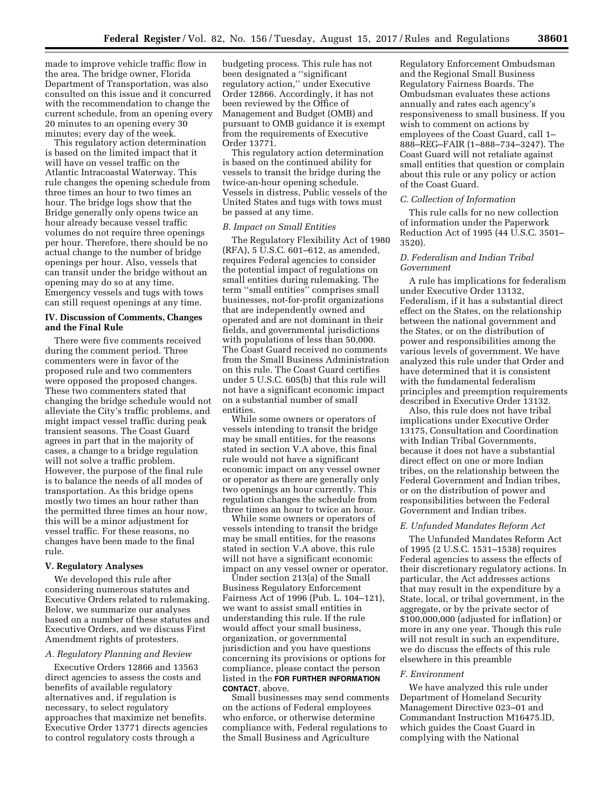made to improve vehicle traffic flow in the area. The bridge owner, Florida Department of Transportation, was also consulted on this issue and it concurred with the recommendation to change the current schedule, from an opening every 20 minutes to an opening every 30 minutes; every day of the week.

This regulatory action determination is based on the limited impact that it will have on vessel traffic on the Atlantic Intracoastal Waterway. This rule changes the opening schedule from three times an hour to two times an hour. The bridge logs show that the Bridge generally only opens twice an hour already because vessel traffic volumes do not require three openings per hour. Therefore, there should be no actual change to the number of bridge openings per hour. Also, vessels that can transit under the bridge without an opening may do so at any time. Emergency vessels and tugs with tows can still request openings at any time.

### **IV. Discussion of Comments, Changes and the Final Rule**

There were five comments received during the comment period. Three commenters were in favor of the proposed rule and two commenters were opposed the proposed changes. These two commenters stated that changing the bridge schedule would not alleviate the City's traffic problems, and might impact vessel traffic during peak transient seasons. The Coast Guard agrees in part that in the majority of cases, a change to a bridge regulation will not solve a traffic problem. However, the purpose of the final rule is to balance the needs of all modes of transportation. As this bridge opens mostly two times an hour rather than the permitted three times an hour now, this will be a minor adjustment for vessel traffic. For these reasons, no changes have been made to the final rule.

#### **V. Regulatory Analyses**

We developed this rule after considering numerous statutes and Executive Orders related to rulemaking. Below, we summarize our analyses based on a number of these statutes and Executive Orders, and we discuss First Amendment rights of protesters.

#### *A. Regulatory Planning and Review*

Executive Orders 12866 and 13563 direct agencies to assess the costs and benefits of available regulatory alternatives and, if regulation is necessary, to select regulatory approaches that maximize net benefits. Executive Order 13771 directs agencies to control regulatory costs through a

budgeting process. This rule has not been designated a ''significant regulatory action,'' under Executive Order 12866. Accordingly, it has not been reviewed by the Office of Management and Budget (OMB) and pursuant to OMB guidance it is exempt from the requirements of Executive Order 13771.

This regulatory action determination is based on the continued ability for vessels to transit the bridge during the twice-an-hour opening schedule. Vessels in distress, Public vessels of the United States and tugs with tows must be passed at any time.

#### *B. Impact on Small Entities*

The Regulatory Flexibility Act of 1980 (RFA), 5 U.S.C. 601–612, as amended, requires Federal agencies to consider the potential impact of regulations on small entities during rulemaking. The term ''small entities'' comprises small businesses, not-for-profit organizations that are independently owned and operated and are not dominant in their fields, and governmental jurisdictions with populations of less than 50,000. The Coast Guard received no comments from the Small Business Administration on this rule. The Coast Guard certifies under 5 U.S.C. 605(b) that this rule will not have a significant economic impact on a substantial number of small entities.

While some owners or operators of vessels intending to transit the bridge may be small entities, for the reasons stated in section V.A above, this final rule would not have a significant economic impact on any vessel owner or operator as there are generally only two openings an hour currently. This regulation changes the schedule from three times an hour to twice an hour.

While some owners or operators of vessels intending to transit the bridge may be small entities, for the reasons stated in section V.A above, this rule will not have a significant economic impact on any vessel owner or operator.

Under section 213(a) of the Small Business Regulatory Enforcement Fairness Act of 1996 (Pub. L. 104–121), we want to assist small entities in understanding this rule. If the rule would affect your small business, organization, or governmental jurisdiction and you have questions concerning its provisions or options for compliance, please contact the person listed in the **FOR FURTHER INFORMATION CONTACT**, above.

Small businesses may send comments on the actions of Federal employees who enforce, or otherwise determine compliance with, Federal regulations to the Small Business and Agriculture

Regulatory Enforcement Ombudsman and the Regional Small Business Regulatory Fairness Boards. The Ombudsman evaluates these actions annually and rates each agency's responsiveness to small business. If you wish to comment on actions by employees of the Coast Guard, call 1– 888–REG–FAIR (1–888–734–3247). The Coast Guard will not retaliate against small entities that question or complain about this rule or any policy or action of the Coast Guard.

### *C. Collection of Information*

This rule calls for no new collection of information under the Paperwork Reduction Act of 1995 (44 U.S.C. 3501– 3520).

# *D. Federalism and Indian Tribal Government*

A rule has implications for federalism under Executive Order 13132, Federalism, if it has a substantial direct effect on the States, on the relationship between the national government and the States, or on the distribution of power and responsibilities among the various levels of government. We have analyzed this rule under that Order and have determined that it is consistent with the fundamental federalism principles and preemption requirements described in Executive Order 13132.

Also, this rule does not have tribal implications under Executive Order 13175, Consultation and Coordination with Indian Tribal Governments, because it does not have a substantial direct effect on one or more Indian tribes, on the relationship between the Federal Government and Indian tribes, or on the distribution of power and responsibilities between the Federal Government and Indian tribes.

#### *E. Unfunded Mandates Reform Act*

The Unfunded Mandates Reform Act of 1995 (2 U.S.C. 1531–1538) requires Federal agencies to assess the effects of their discretionary regulatory actions. In particular, the Act addresses actions that may result in the expenditure by a State, local, or tribal government, in the aggregate, or by the private sector of \$100,000,000 (adjusted for inflation) or more in any one year. Though this rule will not result in such an expenditure, we do discuss the effects of this rule elsewhere in this preamble

#### *F. Environment*

We have analyzed this rule under Department of Homeland Security Management Directive 023–01 and Commandant Instruction M16475.lD, which guides the Coast Guard in complying with the National